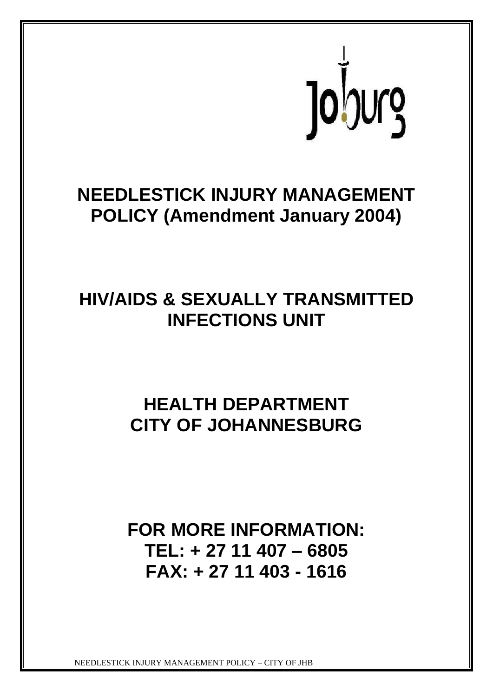

# **NEEDLESTICK INJURY MANAGEMENT POLICY (Amendment January 2004)**

# **HIV/AIDS & SEXUALLY TRANSMITTED INFECTIONS UNIT**

# **HEALTH DEPARTMENT CITY OF JOHANNESBURG**

## **FOR MORE INFORMATION: TEL: + 27 11 407 – 6805 FAX: + 27 11 403 - 1616**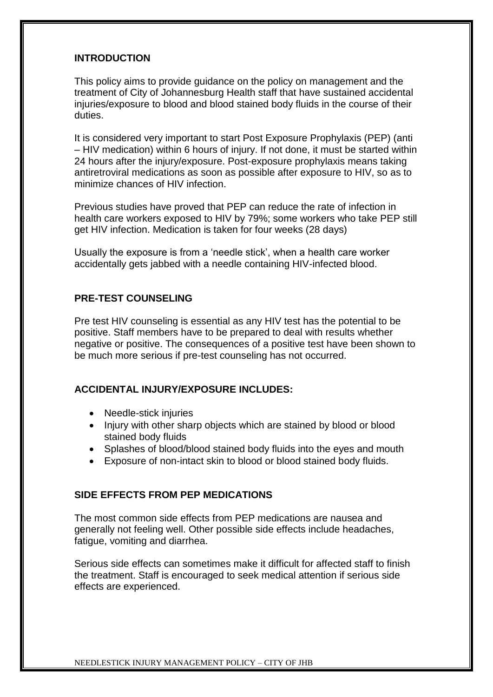## **INTRODUCTION**

This policy aims to provide guidance on the policy on management and the treatment of City of Johannesburg Health staff that have sustained accidental injuries/exposure to blood and blood stained body fluids in the course of their duties.

It is considered very important to start Post Exposure Prophylaxis (PEP) (anti – HIV medication) within 6 hours of injury. If not done, it must be started within 24 hours after the injury/exposure. Post-exposure prophylaxis means taking antiretroviral medications as soon as possible after exposure to HIV, so as to minimize chances of HIV infection.

Previous studies have proved that PEP can reduce the rate of infection in health care workers exposed to HIV by 79%; some workers who take PEP still get HIV infection. Medication is taken for four weeks (28 days)

Usually the exposure is from a 'needle stick', when a health care worker accidentally gets jabbed with a needle containing HIV-infected blood.

### **PRE-TEST COUNSELING**

Pre test HIV counseling is essential as any HIV test has the potential to be positive. Staff members have to be prepared to deal with results whether negative or positive. The consequences of a positive test have been shown to be much more serious if pre-test counseling has not occurred.

### **ACCIDENTAL INJURY/EXPOSURE INCLUDES:**

- Needle-stick injuries
- Injury with other sharp objects which are stained by blood or blood stained body fluids
- Splashes of blood/blood stained body fluids into the eyes and mouth
- Exposure of non-intact skin to blood or blood stained body fluids.

### **SIDE EFFECTS FROM PEP MEDICATIONS**

The most common side effects from PEP medications are nausea and generally not feeling well. Other possible side effects include headaches, fatigue, vomiting and diarrhea.

Serious side effects can sometimes make it difficult for affected staff to finish the treatment. Staff is encouraged to seek medical attention if serious side effects are experienced.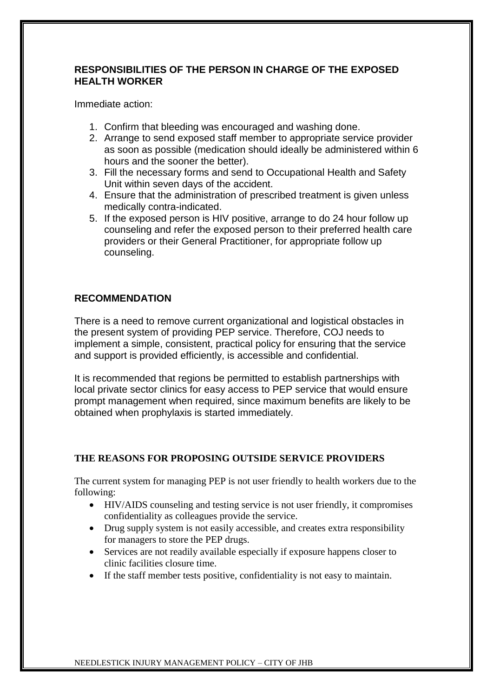## **RESPONSIBILITIES OF THE PERSON IN CHARGE OF THE EXPOSED HEALTH WORKER**

Immediate action:

- 1. Confirm that bleeding was encouraged and washing done.
- 2. Arrange to send exposed staff member to appropriate service provider as soon as possible (medication should ideally be administered within 6 hours and the sooner the better).
- 3. Fill the necessary forms and send to Occupational Health and Safety Unit within seven days of the accident.
- 4. Ensure that the administration of prescribed treatment is given unless medically contra-indicated.
- 5. If the exposed person is HIV positive, arrange to do 24 hour follow up counseling and refer the exposed person to their preferred health care providers or their General Practitioner, for appropriate follow up counseling.

## **RECOMMENDATION**

There is a need to remove current organizational and logistical obstacles in the present system of providing PEP service. Therefore, COJ needs to implement a simple, consistent, practical policy for ensuring that the service and support is provided efficiently, is accessible and confidential.

It is recommended that regions be permitted to establish partnerships with local private sector clinics for easy access to PEP service that would ensure prompt management when required, since maximum benefits are likely to be obtained when prophylaxis is started immediately.

### **THE REASONS FOR PROPOSING OUTSIDE SERVICE PROVIDERS**

The current system for managing PEP is not user friendly to health workers due to the following:

- HIV/AIDS counseling and testing service is not user friendly, it compromises confidentiality as colleagues provide the service.
- Drug supply system is not easily accessible, and creates extra responsibility for managers to store the PEP drugs.
- Services are not readily available especially if exposure happens closer to clinic facilities closure time.
- If the staff member tests positive, confidentiality is not easy to maintain.